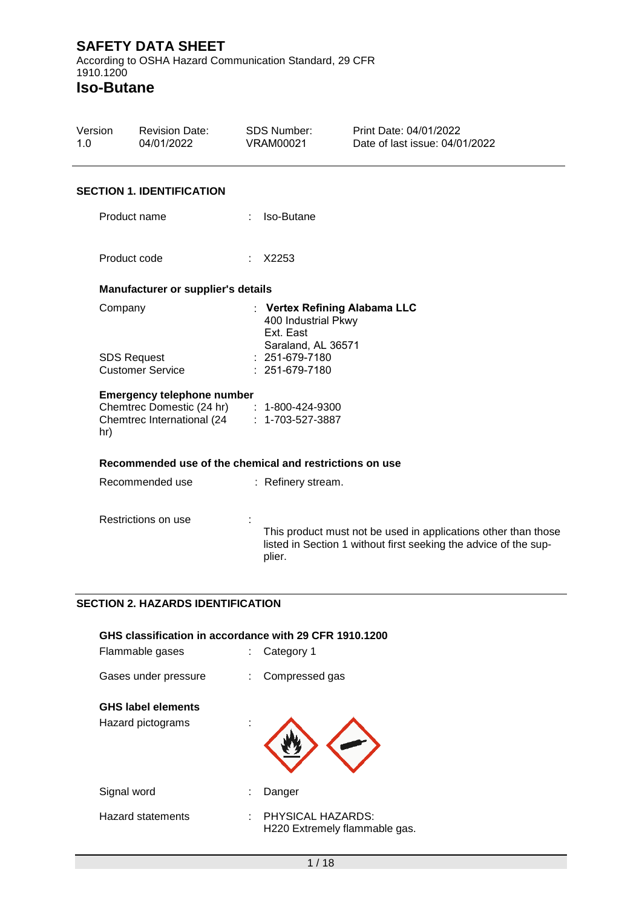Revision Date: 04/01/2022

Version 1.0

According to OSHA Hazard Communication Standard, 29 CFR 1910.1200 **Iso-Butane**

**SECTION 1. IDENTIFICATION** Product name : Iso-Butane Product code : X2253 **Manufacturer or supplier's details** Company : **Vertex Refining Alabama LLC** 400 Industrial Pkwy Ext. East Saraland, AL 36571 SDS Request Customer Service : 251-679-7180 : 251-679-7180 **Emergency telephone number** Chemtrec Domestic (24 hr) : 1-800-424-9300 Chemtrec International (24 hr) : 1-703-527-3887 **Recommended use of the chemical and restrictions on use** Recommended use : Refinery stream. Restrictions on use : This product must not be used in applications other than those listed in Section 1 without first seeking the advice of the supplier.

SDS Number: VRAM00021

Print Date: 04/01/2022 Date of last issue: 04/01/2022

## **SECTION 2. HAZARDS IDENTIFICATION**

| GHS classification in accordance with 29 CFR 1910.1200<br>Flammable gases | Category 1                                         |
|---------------------------------------------------------------------------|----------------------------------------------------|
| Gases under pressure                                                      | Compressed gas                                     |
| <b>GHS label elements</b><br>Hazard pictograms                            |                                                    |
| Signal word                                                               | Danger                                             |
| <b>Hazard statements</b>                                                  | PHYSICAL HAZARDS:<br>H220 Extremely flammable gas. |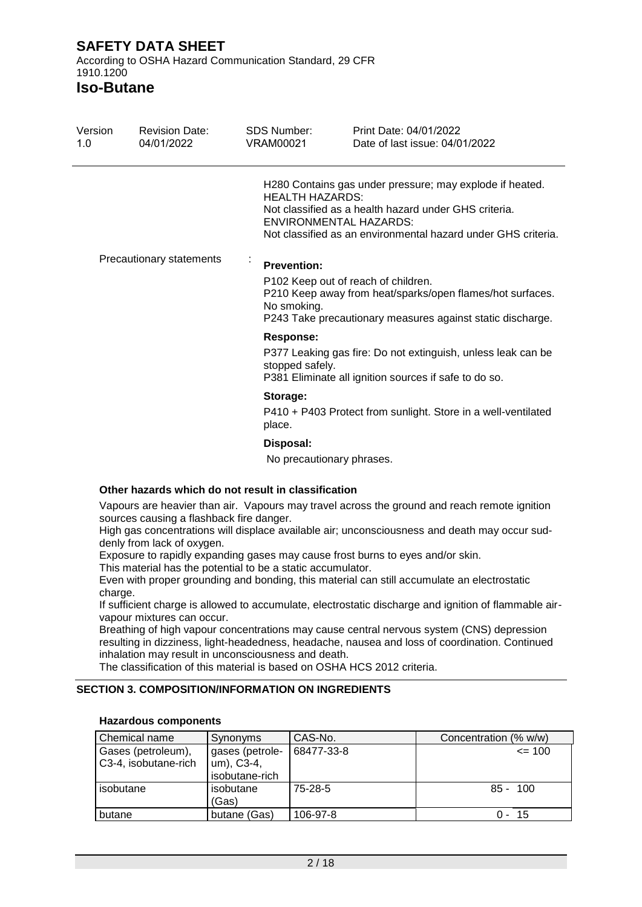According to OSHA Hazard Communication Standard, 29 CFR 1910.1200

**Iso-Butane**

| Version<br>1.0 | <b>Revision Date:</b><br>04/01/2022 | SDS Number:<br>VRAM00021                       | Print Date: 04/01/2022<br>Date of last issue: 04/01/2022                                                                                                                                                            |
|----------------|-------------------------------------|------------------------------------------------|---------------------------------------------------------------------------------------------------------------------------------------------------------------------------------------------------------------------|
|                |                                     | <b>HEALTH HAZARDS:</b>                         | H280 Contains gas under pressure; may explode if heated.<br>Not classified as a health hazard under GHS criteria.<br><b>ENVIRONMENTAL HAZARDS:</b><br>Not classified as an environmental hazard under GHS criteria. |
|                | Precautionary statements            | $\bullet$<br><b>Prevention:</b><br>No smoking. | P102 Keep out of reach of children.<br>P210 Keep away from heat/sparks/open flames/hot surfaces.<br>P243 Take precautionary measures against static discharge.                                                      |
|                |                                     | <b>Response:</b><br>stopped safely.            | P377 Leaking gas fire: Do not extinguish, unless leak can be<br>P381 Eliminate all ignition sources if safe to do so.                                                                                               |
|                |                                     | Storage:<br>place.                             | P410 + P403 Protect from sunlight. Store in a well-ventilated                                                                                                                                                       |
|                |                                     | Disposal:                                      |                                                                                                                                                                                                                     |

No precautionary phrases.

#### **Other hazards which do not result in classification**

Vapours are heavier than air. Vapours may travel across the ground and reach remote ignition sources causing a flashback fire danger.

High gas concentrations will displace available air; unconsciousness and death may occur suddenly from lack of oxygen.

Exposure to rapidly expanding gases may cause frost burns to eyes and/or skin.

This material has the potential to be a static accumulator.

Even with proper grounding and bonding, this material can still accumulate an electrostatic charge.

If sufficient charge is allowed to accumulate, electrostatic discharge and ignition of flammable airvapour mixtures can occur.

Breathing of high vapour concentrations may cause central nervous system (CNS) depression resulting in dizziness, light-headedness, headache, nausea and loss of coordination. Continued inhalation may result in unconsciousness and death.

The classification of this material is based on OSHA HCS 2012 criteria.

## **SECTION 3. COMPOSITION/INFORMATION ON INGREDIENTS**

| Chemical name        | Synonyms           | CAS-No.    | Concentration (% w/w) |
|----------------------|--------------------|------------|-----------------------|
| Gases (petroleum),   | gases (petrole-    | 68477-33-8 | $= 100$               |
| C3-4, isobutane-rich | um), C3-4,         |            |                       |
|                      | isobutane-rich     |            |                       |
| isobutane            | isobutane<br>(Gas) | $75-28-5$  | $85 - 100$            |
| butane               | butane (Gas)       | 106-97-8   | $0 - 15$              |

#### **Hazardous components**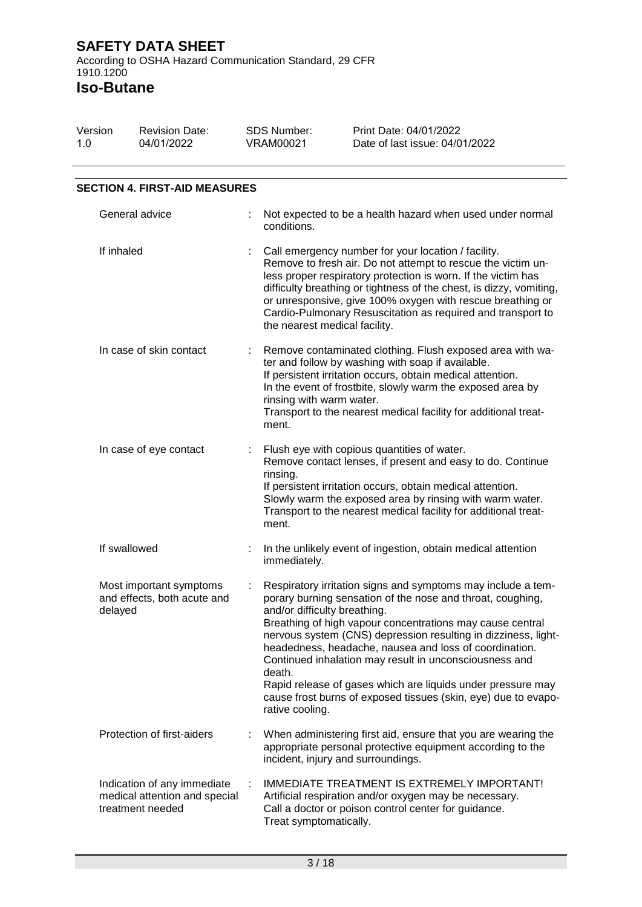> SDS Number: VRAM00021

Print Date: 04/01/2022 Date of last issue: 04/01/2022

Revision Date:

04/01/2022

**Iso-Butane**

Version 1.0

| <b>SECTION 4. FIRST-AID MEASURES</b>                                             |   |                                                                                                                                                                                                                                                                                                                                                                                                                                                                                                                                                                             |
|----------------------------------------------------------------------------------|---|-----------------------------------------------------------------------------------------------------------------------------------------------------------------------------------------------------------------------------------------------------------------------------------------------------------------------------------------------------------------------------------------------------------------------------------------------------------------------------------------------------------------------------------------------------------------------------|
| General advice                                                                   |   | Not expected to be a health hazard when used under normal<br>conditions.                                                                                                                                                                                                                                                                                                                                                                                                                                                                                                    |
| If inhaled                                                                       |   | Call emergency number for your location / facility.<br>Remove to fresh air. Do not attempt to rescue the victim un-<br>less proper respiratory protection is worn. If the victim has<br>difficulty breathing or tightness of the chest, is dizzy, vomiting,<br>or unresponsive, give 100% oxygen with rescue breathing or<br>Cardio-Pulmonary Resuscitation as required and transport to<br>the nearest medical facility.                                                                                                                                                   |
| In case of skin contact                                                          | ÷ | Remove contaminated clothing. Flush exposed area with wa-<br>ter and follow by washing with soap if available.<br>If persistent irritation occurs, obtain medical attention.<br>In the event of frostbite, slowly warm the exposed area by<br>rinsing with warm water.<br>Transport to the nearest medical facility for additional treat-<br>ment.                                                                                                                                                                                                                          |
| In case of eye contact                                                           |   | Flush eye with copious quantities of water.<br>Remove contact lenses, if present and easy to do. Continue<br>rinsing.<br>If persistent irritation occurs, obtain medical attention.<br>Slowly warm the exposed area by rinsing with warm water.<br>Transport to the nearest medical facility for additional treat-<br>ment.                                                                                                                                                                                                                                                 |
| If swallowed                                                                     |   | In the unlikely event of ingestion, obtain medical attention<br>immediately.                                                                                                                                                                                                                                                                                                                                                                                                                                                                                                |
| Most important symptoms<br>and effects, both acute and<br>delayed                |   | Respiratory irritation signs and symptoms may include a tem-<br>porary burning sensation of the nose and throat, coughing,<br>and/or difficulty breathing.<br>Breathing of high vapour concentrations may cause central<br>nervous system (CNS) depression resulting in dizziness, light-<br>headedness, headache, nausea and loss of coordination.<br>Continued inhalation may result in unconsciousness and<br>death.<br>Rapid release of gases which are liquids under pressure may<br>cause frost burns of exposed tissues (skin, eye) due to evapo-<br>rative cooling. |
| Protection of first-aiders                                                       |   | When administering first aid, ensure that you are wearing the<br>appropriate personal protective equipment according to the<br>incident, injury and surroundings.                                                                                                                                                                                                                                                                                                                                                                                                           |
| Indication of any immediate<br>medical attention and special<br>treatment needed |   | IMMEDIATE TREATMENT IS EXTREMELY IMPORTANT!<br>Artificial respiration and/or oxygen may be necessary.<br>Call a doctor or poison control center for guidance.<br>Treat symptomatically.                                                                                                                                                                                                                                                                                                                                                                                     |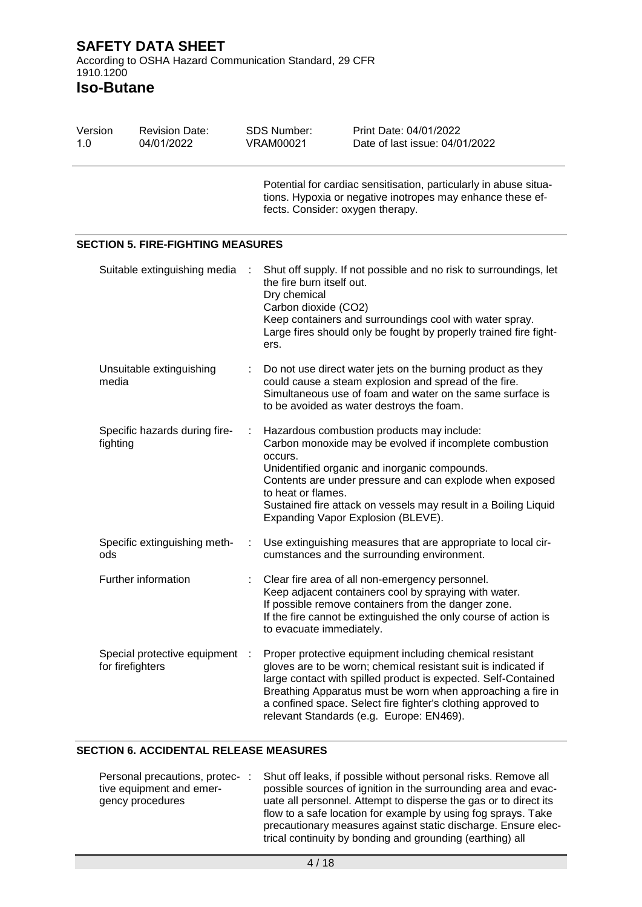**Iso-Butane**

| Version<br>1.0 |                  | <b>Revision Date:</b><br>04/01/2022      |   | <b>SDS Number:</b><br><b>VRAM00021</b>                                    | Print Date: 04/01/2022<br>Date of last issue: 04/01/2022                                                                                                                                                                                                                                                                                                                |
|----------------|------------------|------------------------------------------|---|---------------------------------------------------------------------------|-------------------------------------------------------------------------------------------------------------------------------------------------------------------------------------------------------------------------------------------------------------------------------------------------------------------------------------------------------------------------|
|                |                  |                                          |   | fects. Consider: oxygen therapy.                                          | Potential for cardiac sensitisation, particularly in abuse situa-<br>tions. Hypoxia or negative inotropes may enhance these ef-                                                                                                                                                                                                                                         |
|                |                  | <b>SECTION 5. FIRE-FIGHTING MEASURES</b> |   |                                                                           |                                                                                                                                                                                                                                                                                                                                                                         |
|                |                  | Suitable extinguishing media             | ÷ | the fire burn itself out.<br>Dry chemical<br>Carbon dioxide (CO2)<br>ers. | Shut off supply. If not possible and no risk to surroundings, let<br>Keep containers and surroundings cool with water spray.<br>Large fires should only be fought by properly trained fire fight-                                                                                                                                                                       |
|                | media            | Unsuitable extinguishing                 |   |                                                                           | Do not use direct water jets on the burning product as they<br>could cause a steam explosion and spread of the fire.<br>Simultaneous use of foam and water on the same surface is<br>to be avoided as water destroys the foam.                                                                                                                                          |
|                | fighting         | Specific hazards during fire-            | ÷ | occurs.<br>to heat or flames.                                             | Hazardous combustion products may include:<br>Carbon monoxide may be evolved if incomplete combustion<br>Unidentified organic and inorganic compounds.<br>Contents are under pressure and can explode when exposed<br>Sustained fire attack on vessels may result in a Boiling Liquid<br>Expanding Vapor Explosion (BLEVE).                                             |
|                | ods              | Specific extinguishing meth-             |   |                                                                           | Use extinguishing measures that are appropriate to local cir-<br>cumstances and the surrounding environment.                                                                                                                                                                                                                                                            |
|                |                  | Further information                      |   | to evacuate immediately.                                                  | Clear fire area of all non-emergency personnel.<br>Keep adjacent containers cool by spraying with water.<br>If possible remove containers from the danger zone.<br>If the fire cannot be extinguished the only course of action is                                                                                                                                      |
|                | for firefighters | Special protective equipment :           |   |                                                                           | Proper protective equipment including chemical resistant<br>gloves are to be worn; chemical resistant suit is indicated if<br>large contact with spilled product is expected. Self-Contained<br>Breathing Apparatus must be worn when approaching a fire in<br>a confined space. Select fire fighter's clothing approved to<br>relevant Standards (e.g. Europe: EN469). |

## **SECTION 6. ACCIDENTAL RELEASE MEASURES**

| Personal precautions, protec-: | Shut off leaks, if possible without personal risks. Remove all   |
|--------------------------------|------------------------------------------------------------------|
| tive equipment and emer-       | possible sources of ignition in the surrounding area and evac-   |
| gency procedures               | uate all personnel. Attempt to disperse the gas or to direct its |
|                                | flow to a safe location for example by using fog sprays. Take    |
|                                | precautionary measures against static discharge. Ensure elec-    |
|                                | trical continuity by bonding and grounding (earthing) all        |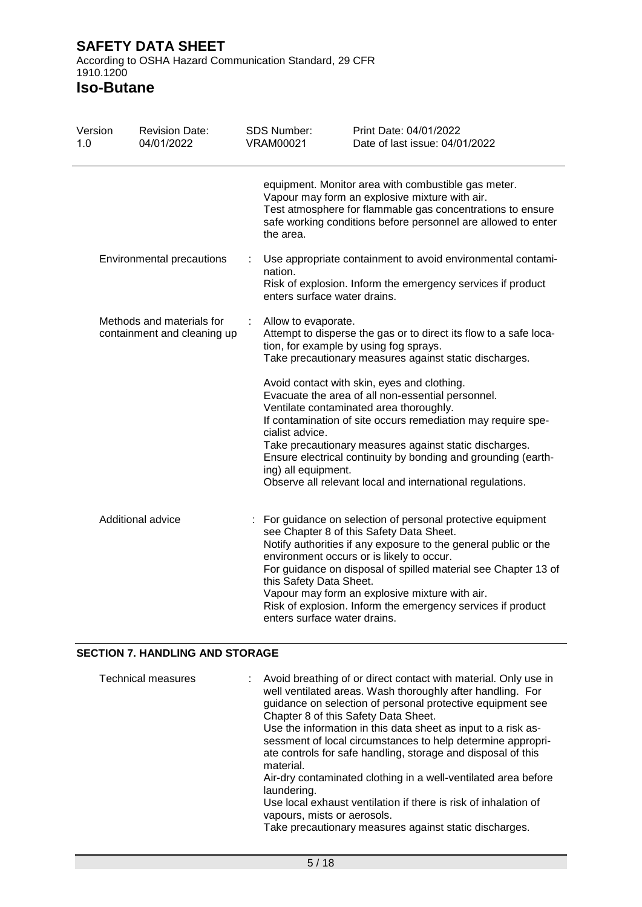According to OSHA Hazard Communication Standard, 29 CFR 1910.1200

# **Iso-Butane**

| Version<br>1.0                                           |  | <b>Revision Date:</b><br>04/01/2022 | <b>SDS Number:</b><br><b>VRAM00021</b>                                                                                                                                | Print Date: 04/01/2022<br>Date of last issue: 04/01/2022                                                                                                                                                                                                                                                                                                                                                    |
|----------------------------------------------------------|--|-------------------------------------|-----------------------------------------------------------------------------------------------------------------------------------------------------------------------|-------------------------------------------------------------------------------------------------------------------------------------------------------------------------------------------------------------------------------------------------------------------------------------------------------------------------------------------------------------------------------------------------------------|
|                                                          |  |                                     | the area.                                                                                                                                                             | equipment. Monitor area with combustible gas meter.<br>Vapour may form an explosive mixture with air.<br>Test atmosphere for flammable gas concentrations to ensure<br>safe working conditions before personnel are allowed to enter                                                                                                                                                                        |
|                                                          |  | Environmental precautions           | nation.<br>enters surface water drains.                                                                                                                               | Use appropriate containment to avoid environmental contami-<br>Risk of explosion. Inform the emergency services if product                                                                                                                                                                                                                                                                                  |
| Methods and materials for<br>containment and cleaning up |  | Allow to evaporate.                 | Attempt to disperse the gas or to direct its flow to a safe loca-<br>tion, for example by using fog sprays.<br>Take precautionary measures against static discharges. |                                                                                                                                                                                                                                                                                                                                                                                                             |
|                                                          |  |                                     | cialist advice.<br>ing) all equipment.                                                                                                                                | Avoid contact with skin, eyes and clothing.<br>Evacuate the area of all non-essential personnel.<br>Ventilate contaminated area thoroughly.<br>If contamination of site occurs remediation may require spe-<br>Take precautionary measures against static discharges.<br>Ensure electrical continuity by bonding and grounding (earth-<br>Observe all relevant local and international regulations.         |
|                                                          |  | Additional advice                   | this Safety Data Sheet.<br>enters surface water drains.                                                                                                               | : For guidance on selection of personal protective equipment<br>see Chapter 8 of this Safety Data Sheet.<br>Notify authorities if any exposure to the general public or the<br>environment occurs or is likely to occur.<br>For guidance on disposal of spilled material see Chapter 13 of<br>Vapour may form an explosive mixture with air.<br>Risk of explosion. Inform the emergency services if product |

#### **SECTION 7. HANDLING AND STORAGE**

| <b>Technical measures</b> | : Avoid breathing of or direct contact with material. Only use in<br>well ventilated areas. Wash thoroughly after handling. For<br>guidance on selection of personal protective equipment see<br>Chapter 8 of this Safety Data Sheet.<br>Use the information in this data sheet as input to a risk as-<br>sessment of local circumstances to help determine appropri-<br>ate controls for safe handling, storage and disposal of this |
|---------------------------|---------------------------------------------------------------------------------------------------------------------------------------------------------------------------------------------------------------------------------------------------------------------------------------------------------------------------------------------------------------------------------------------------------------------------------------|
|                           | material.<br>Air-dry contaminated clothing in a well-ventilated area before<br>laundering.                                                                                                                                                                                                                                                                                                                                            |
|                           | Use local exhaust ventilation if there is risk of inhalation of<br>vapours, mists or aerosols.<br>Take precautionary measures against static discharges.                                                                                                                                                                                                                                                                              |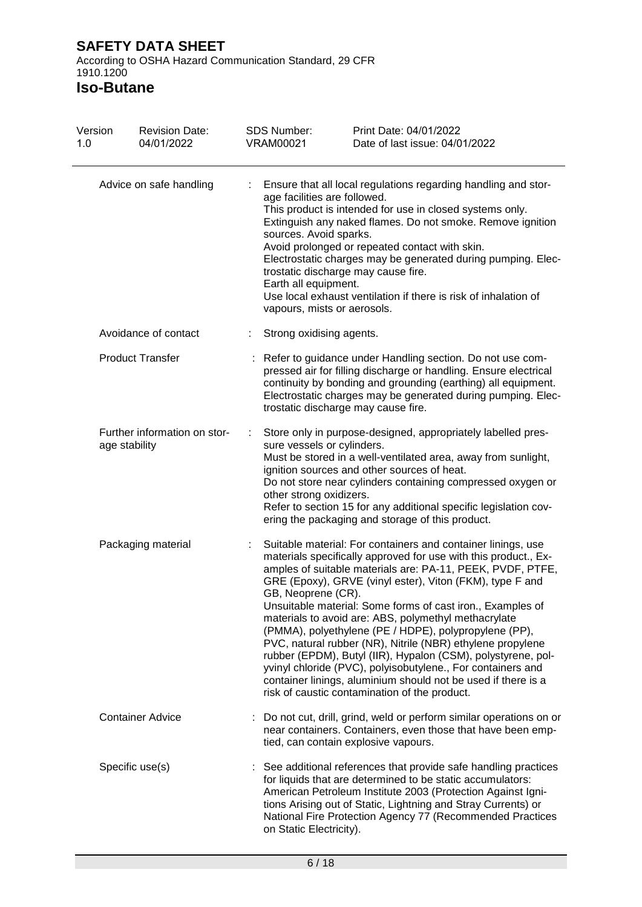According to OSHA Hazard Communication Standard, 29 CFR 1910.1200

| Version<br>1.0     | <b>Revision Date:</b><br>04/01/2022           |    | <b>SDS Number:</b><br><b>VRAM00021</b>                                                                        | Print Date: 04/01/2022<br>Date of last issue: 04/01/2022                                                                                                                                                                                                                                                                                                                                                                                                                                                                                                                                                                                                                                                                                                |
|--------------------|-----------------------------------------------|----|---------------------------------------------------------------------------------------------------------------|---------------------------------------------------------------------------------------------------------------------------------------------------------------------------------------------------------------------------------------------------------------------------------------------------------------------------------------------------------------------------------------------------------------------------------------------------------------------------------------------------------------------------------------------------------------------------------------------------------------------------------------------------------------------------------------------------------------------------------------------------------|
|                    | Advice on safe handling                       | t. | age facilities are followed.<br>sources. Avoid sparks.<br>Earth all equipment.<br>vapours, mists or aerosols. | Ensure that all local regulations regarding handling and stor-<br>This product is intended for use in closed systems only.<br>Extinguish any naked flames. Do not smoke. Remove ignition<br>Avoid prolonged or repeated contact with skin.<br>Electrostatic charges may be generated during pumping. Elec-<br>trostatic discharge may cause fire.<br>Use local exhaust ventilation if there is risk of inhalation of                                                                                                                                                                                                                                                                                                                                    |
|                    | Avoidance of contact                          |    | Strong oxidising agents.                                                                                      |                                                                                                                                                                                                                                                                                                                                                                                                                                                                                                                                                                                                                                                                                                                                                         |
|                    | <b>Product Transfer</b>                       |    |                                                                                                               | Refer to guidance under Handling section. Do not use com-<br>pressed air for filling discharge or handling. Ensure electrical<br>continuity by bonding and grounding (earthing) all equipment.<br>Electrostatic charges may be generated during pumping. Elec-<br>trostatic discharge may cause fire.                                                                                                                                                                                                                                                                                                                                                                                                                                                   |
|                    | Further information on stor-<br>age stability |    | sure vessels or cylinders.<br>other strong oxidizers.                                                         | Store only in purpose-designed, appropriately labelled pres-<br>Must be stored in a well-ventilated area, away from sunlight,<br>ignition sources and other sources of heat.<br>Do not store near cylinders containing compressed oxygen or<br>Refer to section 15 for any additional specific legislation cov-<br>ering the packaging and storage of this product.                                                                                                                                                                                                                                                                                                                                                                                     |
| Packaging material |                                               |    | GB, Neoprene (CR).                                                                                            | Suitable material: For containers and container linings, use<br>materials specifically approved for use with this product., Ex-<br>amples of suitable materials are: PA-11, PEEK, PVDF, PTFE,<br>GRE (Epoxy), GRVE (vinyl ester), Viton (FKM), type F and<br>Unsuitable material: Some forms of cast iron., Examples of<br>materials to avoid are: ABS, polymethyl methacrylate<br>(PMMA), polyethylene (PE / HDPE), polypropylene (PP),<br>PVC, natural rubber (NR), Nitrile (NBR) ethylene propylene<br>rubber (EPDM), Butyl (IIR), Hypalon (CSM), polystyrene, pol-<br>yvinyl chloride (PVC), polyisobutylene., For containers and<br>container linings, aluminium should not be used if there is a<br>risk of caustic contamination of the product. |
|                    | <b>Container Advice</b>                       |    |                                                                                                               | Do not cut, drill, grind, weld or perform similar operations on or<br>near containers. Containers, even those that have been emp-<br>tied, can contain explosive vapours.                                                                                                                                                                                                                                                                                                                                                                                                                                                                                                                                                                               |
|                    | Specific use(s)                               |    | on Static Electricity).                                                                                       | : See additional references that provide safe handling practices<br>for liquids that are determined to be static accumulators:<br>American Petroleum Institute 2003 (Protection Against Igni-<br>tions Arising out of Static, Lightning and Stray Currents) or<br>National Fire Protection Agency 77 (Recommended Practices                                                                                                                                                                                                                                                                                                                                                                                                                             |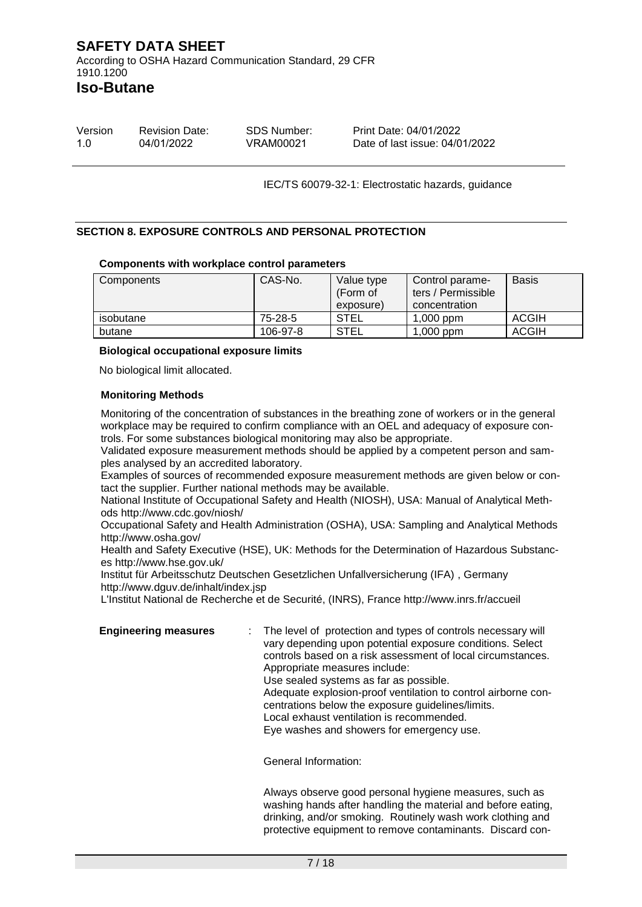**Iso-Butane**

| Version | <b>Revision Date:</b> | SDS Number: | Print Date: 04/01/2022         |
|---------|-----------------------|-------------|--------------------------------|
| 1.0     | 04/01/2022            | VRAM00021   | Date of last issue: 04/01/2022 |

IEC/TS 60079-32-1: Electrostatic hazards, guidance

#### **SECTION 8. EXPOSURE CONTROLS AND PERSONAL PROTECTION**

#### **Components with workplace control parameters**

| Components | CAS-No.  | Value type<br>(Form of<br>exposure) | Control parame-<br>ters / Permissible<br>concentration | <b>Basis</b> |
|------------|----------|-------------------------------------|--------------------------------------------------------|--------------|
| isobutane  | 75-28-5  | STEL                                | $1,000$ ppm                                            | <b>ACGIH</b> |
| butane     | 106-97-8 | <b>STEL</b>                         | ,000 ppm                                               | <b>ACGIH</b> |

#### **Biological occupational exposure limits**

No biological limit allocated.

#### **Monitoring Methods**

Monitoring of the concentration of substances in the breathing zone of workers or in the general workplace may be required to confirm compliance with an OEL and adequacy of exposure controls. For some substances biological monitoring may also be appropriate.

Validated exposure measurement methods should be applied by a competent person and samples analysed by an accredited laboratory.

Examples of sources of recommended exposure measurement methods are given below or contact the supplier. Further national methods may be available.

National Institute of Occupational Safety and Health (NIOSH), USA: Manual of Analytical Methods http://www.cdc.gov/niosh/

Occupational Safety and Health Administration (OSHA), USA: Sampling and Analytical Methods http://www.osha.gov/

Health and Safety Executive (HSE), UK: Methods for the Determination of Hazardous Substances http://www.hse.gov.uk/

Institut für Arbeitsschutz Deutschen Gesetzlichen Unfallversicherung (IFA) , Germany http://www.dguv.de/inhalt/index.jsp

L'Institut National de Recherche et de Securité, (INRS), France http://www.inrs.fr/accueil

**Engineering measures** : The level of protection and types of controls necessary will vary depending upon potential exposure conditions. Select controls based on a risk assessment of local circumstances. Appropriate measures include: Use sealed systems as far as possible. Adequate explosion-proof ventilation to control airborne concentrations below the exposure guidelines/limits. Local exhaust ventilation is recommended. Eye washes and showers for emergency use.

General Information:

Always observe good personal hygiene measures, such as washing hands after handling the material and before eating, drinking, and/or smoking. Routinely wash work clothing and protective equipment to remove contaminants. Discard con-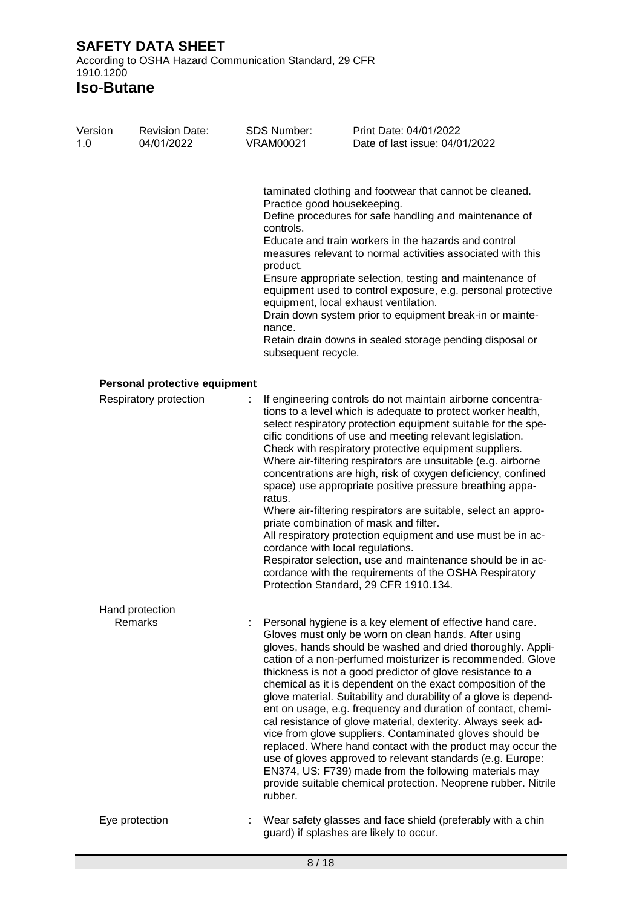| Version<br>1.0 | <b>Revision Date:</b><br>04/01/2022 | <b>SDS Number:</b><br><b>VRAM00021</b>                 | Print Date: 04/01/2022<br>Date of last issue: 04/01/2022                                                                                                                                                                                                                                                                                                                                                                                                                                                                                                                                                                                                                                                                                                                                                                                                                                             |
|----------------|-------------------------------------|--------------------------------------------------------|------------------------------------------------------------------------------------------------------------------------------------------------------------------------------------------------------------------------------------------------------------------------------------------------------------------------------------------------------------------------------------------------------------------------------------------------------------------------------------------------------------------------------------------------------------------------------------------------------------------------------------------------------------------------------------------------------------------------------------------------------------------------------------------------------------------------------------------------------------------------------------------------------|
|                |                                     | controls.<br>product.<br>nance.<br>subsequent recycle. | taminated clothing and footwear that cannot be cleaned.<br>Practice good housekeeping.<br>Define procedures for safe handling and maintenance of<br>Educate and train workers in the hazards and control<br>measures relevant to normal activities associated with this<br>Ensure appropriate selection, testing and maintenance of<br>equipment used to control exposure, e.g. personal protective<br>equipment, local exhaust ventilation.<br>Drain down system prior to equipment break-in or mainte-<br>Retain drain downs in sealed storage pending disposal or                                                                                                                                                                                                                                                                                                                                 |
|                | Personal protective equipment       |                                                        |                                                                                                                                                                                                                                                                                                                                                                                                                                                                                                                                                                                                                                                                                                                                                                                                                                                                                                      |
|                | Respiratory protection              | ratus.                                                 | If engineering controls do not maintain airborne concentra-<br>tions to a level which is adequate to protect worker health,<br>select respiratory protection equipment suitable for the spe-<br>cific conditions of use and meeting relevant legislation.<br>Check with respiratory protective equipment suppliers.<br>Where air-filtering respirators are unsuitable (e.g. airborne<br>concentrations are high, risk of oxygen deficiency, confined<br>space) use appropriate positive pressure breathing appa-<br>Where air-filtering respirators are suitable, select an appro-<br>priate combination of mask and filter.<br>All respiratory protection equipment and use must be in ac-<br>cordance with local regulations.<br>Respirator selection, use and maintenance should be in ac-<br>cordance with the requirements of the OSHA Respiratory<br>Protection Standard, 29 CFR 1910.134.     |
|                | Hand protection<br>Remarks          | rubber.                                                | Personal hygiene is a key element of effective hand care.<br>Gloves must only be worn on clean hands. After using<br>gloves, hands should be washed and dried thoroughly. Appli-<br>cation of a non-perfumed moisturizer is recommended. Glove<br>thickness is not a good predictor of glove resistance to a<br>chemical as it is dependent on the exact composition of the<br>glove material. Suitability and durability of a glove is depend-<br>ent on usage, e.g. frequency and duration of contact, chemi-<br>cal resistance of glove material, dexterity. Always seek ad-<br>vice from glove suppliers. Contaminated gloves should be<br>replaced. Where hand contact with the product may occur the<br>use of gloves approved to relevant standards (e.g. Europe:<br>EN374, US: F739) made from the following materials may<br>provide suitable chemical protection. Neoprene rubber. Nitrile |
|                | Eye protection                      | ÷                                                      | Wear safety glasses and face shield (preferably with a chin<br>guard) if splashes are likely to occur.                                                                                                                                                                                                                                                                                                                                                                                                                                                                                                                                                                                                                                                                                                                                                                                               |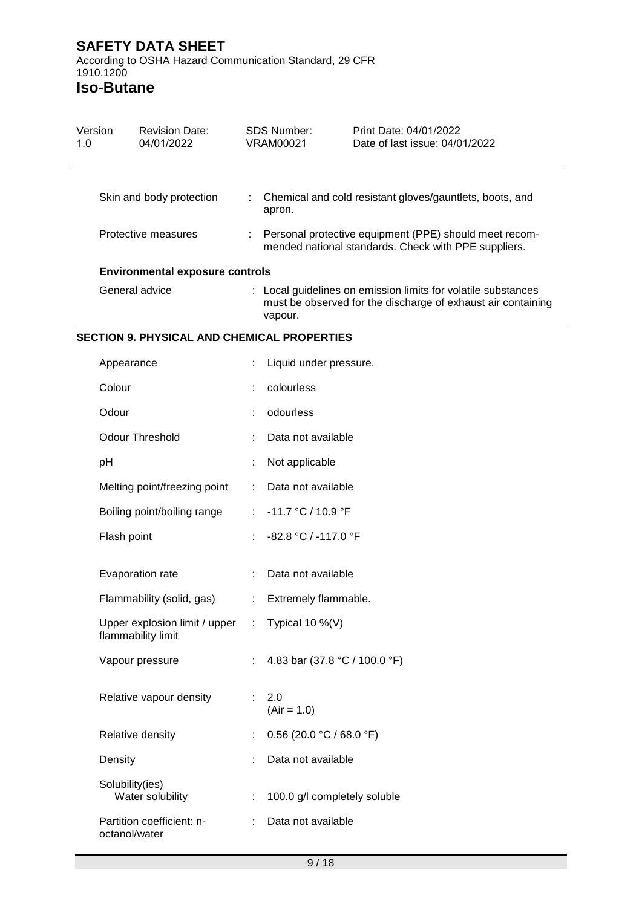According to OSHA Hazard Communication Standard, 29 CFR 1910.1200

| Version<br>1.0 | <b>Revision Date:</b><br>04/01/2022                                   | <b>SDS Number:</b><br><b>VRAM00021</b> |                                                                                                                                          | Print Date: 04/01/2022<br>Date of last issue: 04/01/2022 |  |  |  |
|----------------|-----------------------------------------------------------------------|----------------------------------------|------------------------------------------------------------------------------------------------------------------------------------------|----------------------------------------------------------|--|--|--|
|                | Skin and body protection                                              | $\mathbb{Z}^{\times}$                  | apron.                                                                                                                                   | Chemical and cold resistant gloves/gauntlets, boots, and |  |  |  |
|                | Protective measures                                                   |                                        | Personal protective equipment (PPE) should meet recom-<br>mended national standards. Check with PPE suppliers.                           |                                                          |  |  |  |
|                | <b>Environmental exposure controls</b>                                |                                        |                                                                                                                                          |                                                          |  |  |  |
|                | General advice                                                        |                                        | : Local guidelines on emission limits for volatile substances<br>must be observed for the discharge of exhaust air containing<br>vapour. |                                                          |  |  |  |
|                | SECTION 9. PHYSICAL AND CHEMICAL PROPERTIES                           |                                        |                                                                                                                                          |                                                          |  |  |  |
|                | Appearance                                                            |                                        | Liquid under pressure.                                                                                                                   |                                                          |  |  |  |
|                | Colour                                                                |                                        | colourless                                                                                                                               |                                                          |  |  |  |
|                | Odour                                                                 |                                        | odourless                                                                                                                                |                                                          |  |  |  |
|                | <b>Odour Threshold</b>                                                |                                        | Data not available                                                                                                                       |                                                          |  |  |  |
|                | pH                                                                    |                                        | Not applicable                                                                                                                           |                                                          |  |  |  |
|                | Melting point/freezing point                                          |                                        | Data not available                                                                                                                       |                                                          |  |  |  |
|                | Boiling point/boiling range                                           |                                        | -11.7 °C / 10.9 °F                                                                                                                       |                                                          |  |  |  |
|                | Flash point                                                           |                                        | -82.8 °C / -117.0 °F                                                                                                                     |                                                          |  |  |  |
|                | Evaporation rate                                                      |                                        | Data not available                                                                                                                       |                                                          |  |  |  |
|                | Flammability (solid, gas)                                             |                                        | Extremely flammable.                                                                                                                     |                                                          |  |  |  |
|                | Upper explosion limit / upper : Typical 10 %(V)<br>flammability limit |                                        |                                                                                                                                          |                                                          |  |  |  |
|                | Vapour pressure                                                       |                                        | 4.83 bar (37.8 °C / 100.0 °F)                                                                                                            |                                                          |  |  |  |
|                | Relative vapour density                                               |                                        | 2.0<br>$(Air = 1.0)$                                                                                                                     |                                                          |  |  |  |
|                | Relative density                                                      |                                        | $0.56$ (20.0 °C / 68.0 °F)                                                                                                               |                                                          |  |  |  |
|                | Density                                                               |                                        | Data not available                                                                                                                       |                                                          |  |  |  |
|                | Solubility(ies)<br>Water solubility                                   |                                        | 100.0 g/l completely soluble                                                                                                             |                                                          |  |  |  |
|                | Partition coefficient: n-<br>octanol/water                            |                                        | Data not available                                                                                                                       |                                                          |  |  |  |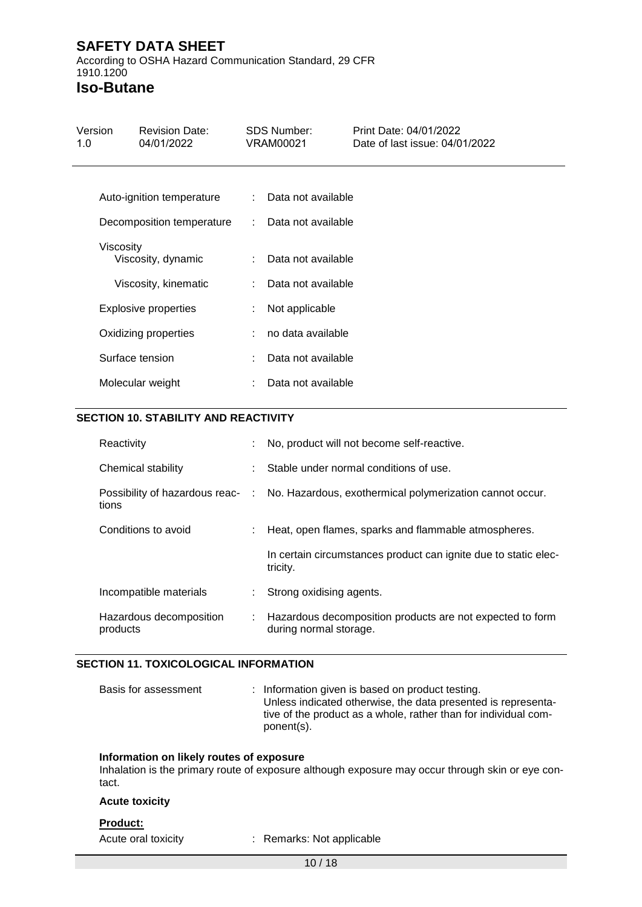According to OSHA Hazard Communication Standard, 29 CFR 1910.1200

**Iso-Butane**

| Version<br>1.0 | <b>Revision Date:</b><br>04/01/2022 | <b>SDS Number:</b><br>VRAM00021 |                      | Print Date: 04/01/2022<br>Date of last issue: 04/01/2022 |
|----------------|-------------------------------------|---------------------------------|----------------------|----------------------------------------------------------|
|                | Auto-ignition temperature           |                                 | : Data not available |                                                          |
|                | Decomposition temperature           |                                 | : Data not available |                                                          |
| Viscosity      | Viscosity, dynamic                  | t.                              | Data not available   |                                                          |
|                | Viscosity, kinematic                |                                 | Data not available   |                                                          |
|                | <b>Explosive properties</b>         |                                 | Not applicable       |                                                          |
|                | Oxidizing properties                |                                 | no data available    |                                                          |
|                | Surface tension                     |                                 | Data not available   |                                                          |
|                | Molecular weight                    |                                 | Data not available   |                                                          |

#### **SECTION 10. STABILITY AND REACTIVITY**

| Reactivity                          | t. | No, product will not become self-reactive.                                                |  |
|-------------------------------------|----|-------------------------------------------------------------------------------------------|--|
| Chemical stability                  |    | Stable under normal conditions of use.                                                    |  |
| tions                               |    | Possibility of hazardous reac- : No. Hazardous, exothermical polymerization cannot occur. |  |
| Conditions to avoid                 |    | Heat, open flames, sparks and flammable atmospheres.                                      |  |
|                                     |    | In certain circumstances product can ignite due to static elec-<br>tricity.               |  |
| Incompatible materials              |    | Strong oxidising agents.                                                                  |  |
| Hazardous decomposition<br>products |    | Hazardous decomposition products are not expected to form<br>during normal storage.       |  |

#### **SECTION 11. TOXICOLOGICAL INFORMATION**

| Basis for assessment |  | : Information given is based on product testing.                |
|----------------------|--|-----------------------------------------------------------------|
|                      |  | Unless indicated otherwise, the data presented is representa-   |
|                      |  | tive of the product as a whole, rather than for individual com- |
|                      |  | ponent(s).                                                      |

#### **Information on likely routes of exposure**

Inhalation is the primary route of exposure although exposure may occur through skin or eye contact.

#### **Acute toxicity**

## **Product:**

Acute oral toxicity : Remarks: Not applicable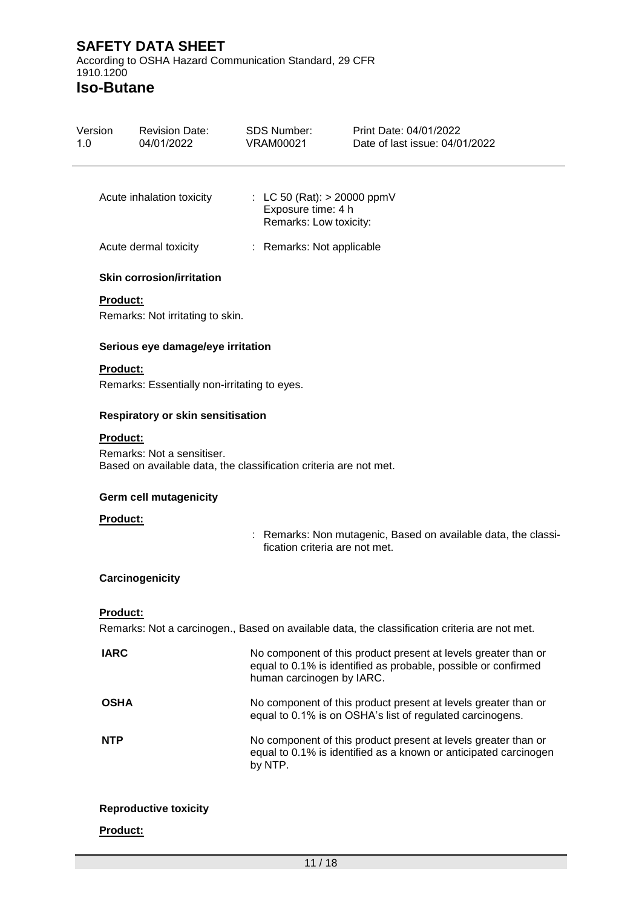According to OSHA Hazard Communication Standard, 29 CFR 1910.1200

| Version<br>1.0 | <b>Revision Date:</b><br>04/01/2022                                                                         | <b>SDS Number:</b><br><b>VRAM00021</b>                                        | Print Date: 04/01/2022<br>Date of last issue: 04/01/2022                                                                           |
|----------------|-------------------------------------------------------------------------------------------------------------|-------------------------------------------------------------------------------|------------------------------------------------------------------------------------------------------------------------------------|
|                | Acute inhalation toxicity                                                                                   | : LC 50 (Rat): $> 20000$ ppmV<br>Exposure time: 4 h<br>Remarks: Low toxicity: |                                                                                                                                    |
|                | Acute dermal toxicity                                                                                       | : Remarks: Not applicable                                                     |                                                                                                                                    |
|                | <b>Skin corrosion/irritation</b>                                                                            |                                                                               |                                                                                                                                    |
|                | <b>Product:</b><br>Remarks: Not irritating to skin.                                                         |                                                                               |                                                                                                                                    |
|                | Serious eye damage/eye irritation                                                                           |                                                                               |                                                                                                                                    |
|                | <b>Product:</b><br>Remarks: Essentially non-irritating to eyes.                                             |                                                                               |                                                                                                                                    |
|                | <b>Respiratory or skin sensitisation</b>                                                                    |                                                                               |                                                                                                                                    |
|                | Product:<br>Remarks: Not a sensitiser.<br>Based on available data, the classification criteria are not met. |                                                                               |                                                                                                                                    |
|                | <b>Germ cell mutagenicity</b>                                                                               |                                                                               |                                                                                                                                    |
|                | Product:                                                                                                    | fication criteria are not met.                                                | : Remarks: Non mutagenic, Based on available data, the classi-                                                                     |
|                | Carcinogenicity                                                                                             |                                                                               |                                                                                                                                    |
|                | <b>Product:</b>                                                                                             |                                                                               | Remarks: Not a carcinogen., Based on available data, the classification criteria are not met.                                      |
|                | <b>IARC</b>                                                                                                 | human carcinogen by IARC.                                                     | No component of this product present at levels greater than or<br>equal to 0.1% is identified as probable, possible or confirmed   |
|                | <b>OSHA</b>                                                                                                 |                                                                               | No component of this product present at levels greater than or<br>equal to 0.1% is on OSHA's list of regulated carcinogens.        |
|                | <b>NTP</b>                                                                                                  | by NTP.                                                                       | No component of this product present at levels greater than or<br>equal to 0.1% is identified as a known or anticipated carcinogen |
|                | <b>Reproductive toxicity</b>                                                                                |                                                                               |                                                                                                                                    |
|                | Product:                                                                                                    |                                                                               |                                                                                                                                    |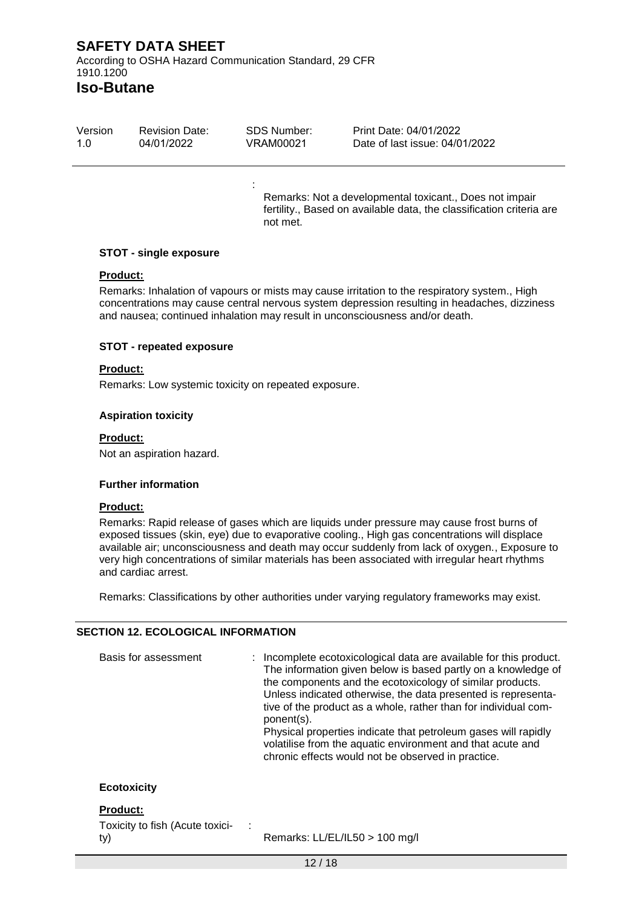**Iso-Butane**

| Version | <b>Revision Date:</b> | SDS Number: | Print Date: 04/01/2022         |
|---------|-----------------------|-------------|--------------------------------|
| 1.0     | 04/01/2022            | VRAM00021   | Date of last issue: 04/01/2022 |

:

Remarks: Not a developmental toxicant., Does not impair fertility., Based on available data, the classification criteria are not met.

#### **STOT - single exposure**

#### **Product:**

Remarks: Inhalation of vapours or mists may cause irritation to the respiratory system., High concentrations may cause central nervous system depression resulting in headaches, dizziness and nausea; continued inhalation may result in unconsciousness and/or death.

#### **STOT - repeated exposure**

#### **Product:**

Remarks: Low systemic toxicity on repeated exposure.

#### **Aspiration toxicity**

#### **Product:**

Not an aspiration hazard.

#### **Further information**

#### **Product:**

Remarks: Rapid release of gases which are liquids under pressure may cause frost burns of exposed tissues (skin, eye) due to evaporative cooling., High gas concentrations will displace available air; unconsciousness and death may occur suddenly from lack of oxygen., Exposure to very high concentrations of similar materials has been associated with irregular heart rhythms and cardiac arrest.

Remarks: Classifications by other authorities under varying regulatory frameworks may exist.

#### **SECTION 12. ECOLOGICAL INFORMATION**

| Basis for assessment            |  | : Incomplete ecotoxicological data are available for this product.<br>The information given below is based partly on a knowledge of<br>the components and the ecotoxicology of similar products.<br>Unless indicated otherwise, the data presented is representa-<br>tive of the product as a whole, rather than for individual com-<br>ponent(s).<br>Physical properties indicate that petroleum gases will rapidly<br>volatilise from the aquatic environment and that acute and<br>chronic effects would not be observed in practice. |
|---------------------------------|--|------------------------------------------------------------------------------------------------------------------------------------------------------------------------------------------------------------------------------------------------------------------------------------------------------------------------------------------------------------------------------------------------------------------------------------------------------------------------------------------------------------------------------------------|
| <b>Ecotoxicity</b>              |  |                                                                                                                                                                                                                                                                                                                                                                                                                                                                                                                                          |
| <b>Product:</b>                 |  |                                                                                                                                                                                                                                                                                                                                                                                                                                                                                                                                          |
| Toxicity to fish (Acute toxici- |  |                                                                                                                                                                                                                                                                                                                                                                                                                                                                                                                                          |

Toxicity to fish (Acute toxicity)

Remarks: LL/EL/IL50 > 100 mg/l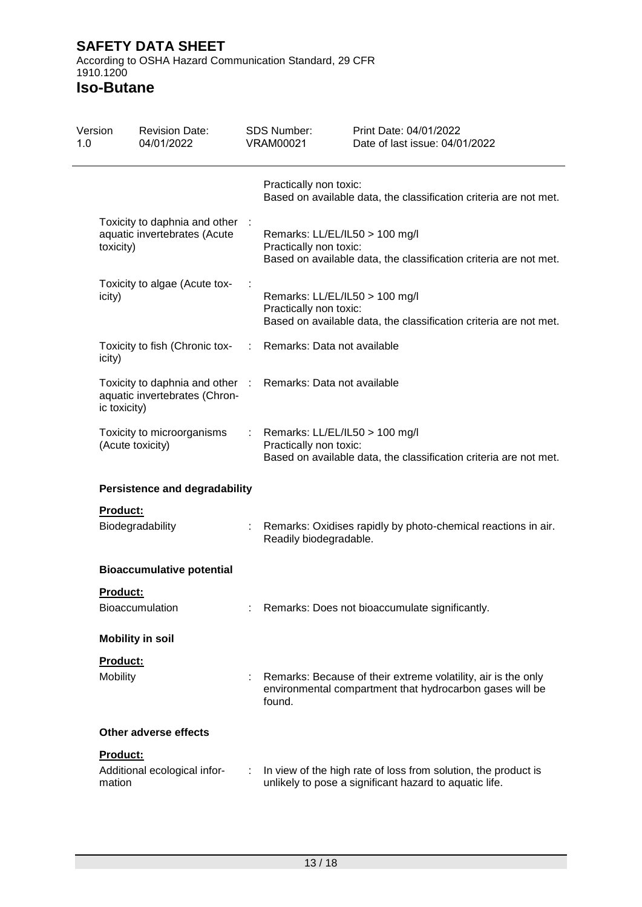According to OSHA Hazard Communication Standard, 29 CFR 1910.1200

| Version<br>1.0 |                                                                                                                                                                                                                                                                                                                                                   | <b>Revision Date:</b><br>04/01/2022 |        | <b>SDS Number:</b><br><b>VRAM00021</b>                                                                                        | Print Date: 04/01/2022<br>Date of last issue: 04/01/2022                                                                  |  |  |
|----------------|---------------------------------------------------------------------------------------------------------------------------------------------------------------------------------------------------------------------------------------------------------------------------------------------------------------------------------------------------|-------------------------------------|--------|-------------------------------------------------------------------------------------------------------------------------------|---------------------------------------------------------------------------------------------------------------------------|--|--|
|                | Toxicity to daphnia and other :<br>aquatic invertebrates (Acute<br>toxicity)<br>Toxicity to algae (Acute tox-<br>icity)<br>Toxicity to fish (Chronic tox-<br>icity)<br>Toxicity to daphnia and other :<br>aquatic invertebrates (Chron-<br>ic toxicity)<br>Toxicity to microorganisms<br>(Acute toxicity)<br><b>Persistence and degradability</b> |                                     |        | Practically non toxic:                                                                                                        | Based on available data, the classification criteria are not met.                                                         |  |  |
|                |                                                                                                                                                                                                                                                                                                                                                   |                                     |        | Remarks: LL/EL/IL50 > 100 mg/l<br>Practically non toxic:                                                                      | Based on available data, the classification criteria are not met.                                                         |  |  |
|                |                                                                                                                                                                                                                                                                                                                                                   |                                     |        | Remarks: LL/EL/IL50 > 100 mg/l<br>Practically non toxic:<br>Based on available data, the classification criteria are not met. |                                                                                                                           |  |  |
|                |                                                                                                                                                                                                                                                                                                                                                   |                                     | ÷      | Remarks: Data not available                                                                                                   |                                                                                                                           |  |  |
|                |                                                                                                                                                                                                                                                                                                                                                   |                                     |        | Remarks: Data not available                                                                                                   |                                                                                                                           |  |  |
|                |                                                                                                                                                                                                                                                                                                                                                   |                                     |        | Remarks: LL/EL/IL50 > 100 mg/l<br>Practically non toxic:                                                                      | Based on available data, the classification criteria are not met.                                                         |  |  |
|                |                                                                                                                                                                                                                                                                                                                                                   |                                     |        |                                                                                                                               |                                                                                                                           |  |  |
|                | <b>Product:</b>                                                                                                                                                                                                                                                                                                                                   |                                     |        |                                                                                                                               |                                                                                                                           |  |  |
|                | Biodegradability                                                                                                                                                                                                                                                                                                                                  |                                     |        | Readily biodegradable.                                                                                                        | Remarks: Oxidises rapidly by photo-chemical reactions in air.                                                             |  |  |
|                |                                                                                                                                                                                                                                                                                                                                                   | <b>Bioaccumulative potential</b>    |        |                                                                                                                               |                                                                                                                           |  |  |
|                | Product:                                                                                                                                                                                                                                                                                                                                          | Bioaccumulation                     |        |                                                                                                                               | : Remarks: Does not bioaccumulate significantly.                                                                          |  |  |
|                |                                                                                                                                                                                                                                                                                                                                                   | <b>Mobility in soil</b>             |        |                                                                                                                               |                                                                                                                           |  |  |
|                | Product:                                                                                                                                                                                                                                                                                                                                          |                                     |        |                                                                                                                               |                                                                                                                           |  |  |
|                | Mobility                                                                                                                                                                                                                                                                                                                                          |                                     | found. |                                                                                                                               | Remarks: Because of their extreme volatility, air is the only<br>environmental compartment that hydrocarbon gases will be |  |  |
|                |                                                                                                                                                                                                                                                                                                                                                   | Other adverse effects               |        |                                                                                                                               |                                                                                                                           |  |  |
|                | Product:<br>mation                                                                                                                                                                                                                                                                                                                                | Additional ecological infor-        | ÷      |                                                                                                                               | In view of the high rate of loss from solution, the product is<br>unlikely to pose a significant hazard to aquatic life.  |  |  |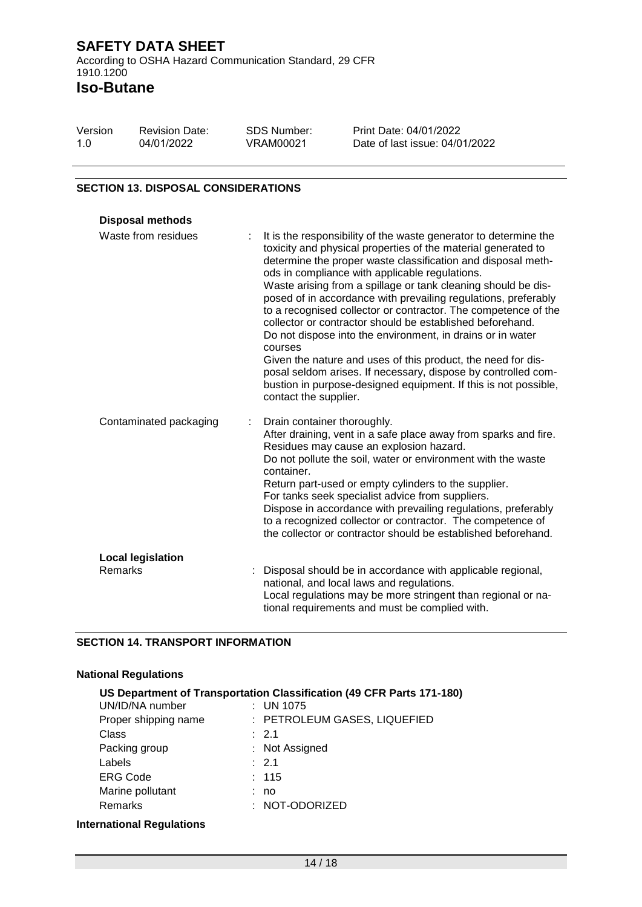| Version | <b>Revision Date:</b> | SDS Number: | Print Date: 04/01/2022         |
|---------|-----------------------|-------------|--------------------------------|
| 1.O     | 04/01/2022            | VRAM00021   | Date of last issue: 04/01/2022 |

#### **SECTION 13. DISPOSAL CONSIDERATIONS**

| <b>Disposal methods</b>                    |                                                                                                                                                                                                                                                                                                                                                                                                                                                                                                                                                                                                                                                                                                                                                                                                                             |
|--------------------------------------------|-----------------------------------------------------------------------------------------------------------------------------------------------------------------------------------------------------------------------------------------------------------------------------------------------------------------------------------------------------------------------------------------------------------------------------------------------------------------------------------------------------------------------------------------------------------------------------------------------------------------------------------------------------------------------------------------------------------------------------------------------------------------------------------------------------------------------------|
| Waste from residues                        | It is the responsibility of the waste generator to determine the<br>toxicity and physical properties of the material generated to<br>determine the proper waste classification and disposal meth-<br>ods in compliance with applicable regulations.<br>Waste arising from a spillage or tank cleaning should be dis-<br>posed of in accordance with prevailing regulations, preferably<br>to a recognised collector or contractor. The competence of the<br>collector or contractor should be established beforehand.<br>Do not dispose into the environment, in drains or in water<br>courses<br>Given the nature and uses of this product, the need for dis-<br>posal seldom arises. If necessary, dispose by controlled com-<br>bustion in purpose-designed equipment. If this is not possible,<br>contact the supplier. |
| Contaminated packaging                     | Drain container thoroughly.<br>After draining, vent in a safe place away from sparks and fire.<br>Residues may cause an explosion hazard.<br>Do not pollute the soil, water or environment with the waste<br>container.<br>Return part-used or empty cylinders to the supplier.<br>For tanks seek specialist advice from suppliers.<br>Dispose in accordance with prevailing regulations, preferably<br>to a recognized collector or contractor. The competence of<br>the collector or contractor should be established beforehand.                                                                                                                                                                                                                                                                                         |
| <b>Local legislation</b><br><b>Remarks</b> | Disposal should be in accordance with applicable regional,<br>national, and local laws and regulations.<br>Local regulations may be more stringent than regional or na-<br>tional requirements and must be complied with.                                                                                                                                                                                                                                                                                                                                                                                                                                                                                                                                                                                                   |

#### **SECTION 14. TRANSPORT INFORMATION**

## **National Regulations**

| US Department of Transportation Classification (49 CFR Parts 171-180) |  |                              |  |  |  |
|-----------------------------------------------------------------------|--|------------------------------|--|--|--|
| UN/ID/NA number                                                       |  | $:$ UN 1075                  |  |  |  |
| Proper shipping name                                                  |  | : PETROLEUM GASES, LIQUEFIED |  |  |  |
| Class                                                                 |  | : 2.1                        |  |  |  |
| Packing group                                                         |  | : Not Assigned               |  |  |  |
| Labels                                                                |  | : 2.1                        |  |  |  |
| <b>ERG Code</b>                                                       |  | : 115                        |  |  |  |
| Marine pollutant                                                      |  | no                           |  |  |  |
| Remarks                                                               |  | : NOT-ODORIZED               |  |  |  |
|                                                                       |  |                              |  |  |  |

## **International Regulations**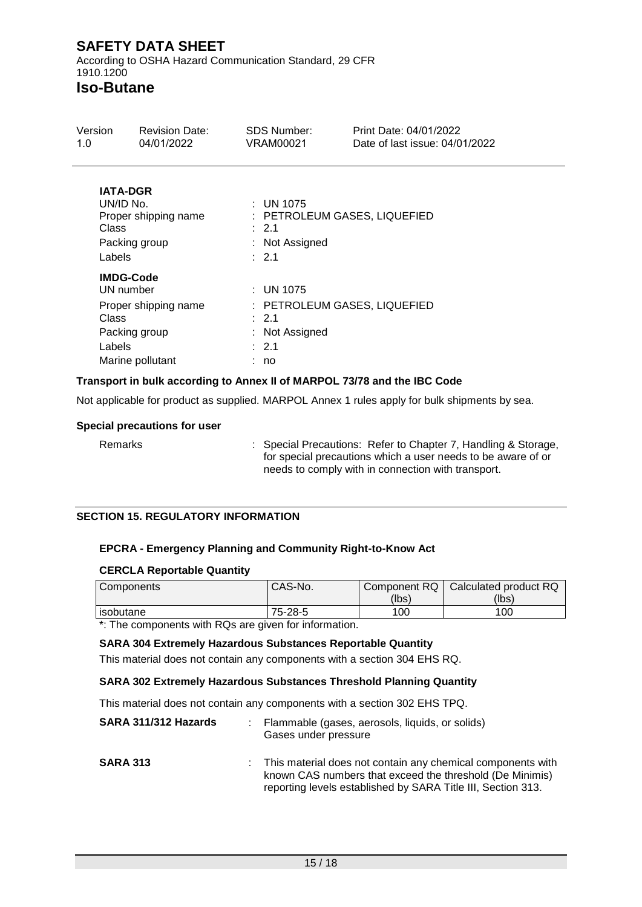According to OSHA Hazard Communication Standard, 29 CFR 1910.1200

# **Iso-Butane**

| Version<br>1.0                                                                                                | <b>Revision Date:</b><br>04/01/2022   | <b>SDS Number:</b><br>VRAM00021 |                                                      | Print Date: 04/01/2022<br>Date of last issue: 04/01/2022 |  |
|---------------------------------------------------------------------------------------------------------------|---------------------------------------|---------------------------------|------------------------------------------------------|----------------------------------------------------------|--|
| <b>IATA-DGR</b><br>UN/ID No.<br>Class<br>Labels                                                               | Proper shipping name<br>Packing group |                                 | : UN 1075<br>: 2.1<br>: Not Assigned<br>: 2.1        | : PETROLEUM GASES, LIQUEFIED                             |  |
| <b>IMDG-Code</b><br>UN number<br>Proper shipping name<br>Class<br>Packing group<br>Labels<br>Marine pollutant |                                       |                                 | : UN 1075<br>: 2.1<br>: Not Assigned<br>: 2.1<br>no. | : PETROLEUM GASES, LIQUEFIED                             |  |

## **Transport in bulk according to Annex II of MARPOL 73/78 and the IBC Code**

Not applicable for product as supplied. MARPOL Annex 1 rules apply for bulk shipments by sea.

#### **Special precautions for user**

Remarks : Special Precautions: Refer to Chapter 7, Handling & Storage, for special precautions which a user needs to be aware of or needs to comply with in connection with transport.

## **SECTION 15. REGULATORY INFORMATION**

#### **EPCRA - Emergency Planning and Community Right-to-Know Act**

#### **CERCLA Reportable Quantity**

| Components | CAS-No. | Component RQ | Calculated product RQ |
|------------|---------|--------------|-----------------------|
|            |         | (lbs)        | (lbs)                 |
| isobutane  | 75-28-5 | 100          | 100                   |

\*: The components with RQs are given for information.

#### **SARA 304 Extremely Hazardous Substances Reportable Quantity**

This material does not contain any components with a section 304 EHS RQ.

#### **SARA 302 Extremely Hazardous Substances Threshold Planning Quantity**

This material does not contain any components with a section 302 EHS TPQ.

| SARA 311/312 Hazards | : Flammable (gases, aerosols, liquids, or solids)<br>Gases under pressure                                                                                                               |
|----------------------|-----------------------------------------------------------------------------------------------------------------------------------------------------------------------------------------|
| <b>SARA 313</b>      | This material does not contain any chemical components with<br>known CAS numbers that exceed the threshold (De Minimis)<br>reporting levels established by SARA Title III, Section 313. |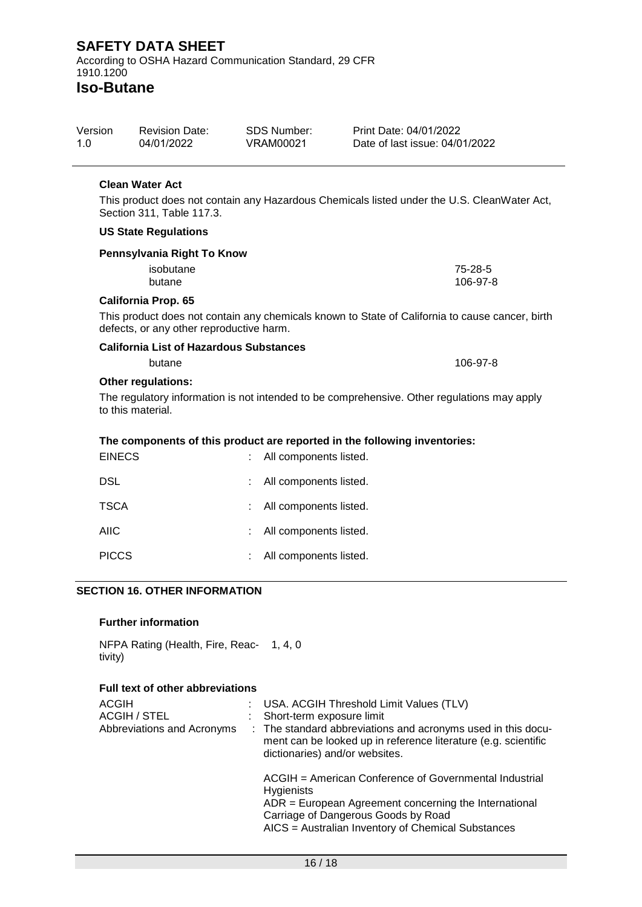**Iso-Butane**

| Version | <b>Revision Date:</b> | SDS Number: | Print Date: 04/01/2022         |
|---------|-----------------------|-------------|--------------------------------|
| 1.0     | 04/01/2022            | VRAM00021   | Date of last issue: 04/01/2022 |

#### **Clean Water Act**

This product does not contain any Hazardous Chemicals listed under the U.S. CleanWater Act, Section 311, Table 117.3.

#### **US State Regulations**

| Pennsylvania Right To Know |          |
|----------------------------|----------|
| isobutane                  | 75-28-5  |
| butane                     | 106-97-8 |
| - ---<br>. .               |          |

#### **California Prop. 65**

This product does not contain any chemicals known to State of California to cause cancer, birth defects, or any other reproductive harm.

| <b>California List of Hazardous Substances</b> |          |  |  |  |  |
|------------------------------------------------|----------|--|--|--|--|
| butane                                         | 106-97-8 |  |  |  |  |
| Othar raculational                             |          |  |  |  |  |

#### **Other regulations:**

The regulatory information is not intended to be comprehensive. Other regulations may apply to this material.

## **The components of this product are reported in the following inventories:**

| <b>EINECS</b> |    | : All components listed. |
|---------------|----|--------------------------|
| <b>DSL</b>    |    | : All components listed. |
| <b>TSCA</b>   |    | : All components listed. |
| <b>AIIC</b>   |    | : All components listed. |
| <b>PICCS</b>  | t. | All components listed.   |

## **SECTION 16. OTHER INFORMATION**

#### **Further information**

NFPA Rating (Health, Fire, Reac-1, 4, 0 tivity)

#### **Full text of other abbreviations**

| <b>ACGIH</b><br><b>ACGIH / STEL</b><br>Abbreviations and Acronyms |  | : USA. ACGIH Threshold Limit Values (TLV)<br>Short-term exposure limit<br>: The standard abbreviations and acronyms used in this docu-<br>ment can be looked up in reference literature (e.g. scientific<br>dictionaries) and/or websites. |
|-------------------------------------------------------------------|--|--------------------------------------------------------------------------------------------------------------------------------------------------------------------------------------------------------------------------------------------|
|                                                                   |  | ACGIH = American Conference of Governmental Industrial<br><b>Hygienists</b><br>$ADR = European Agreement concerning the International$<br>Carriage of Dangerous Goods by Road<br>AICS = Australian Inventory of Chemical Substances        |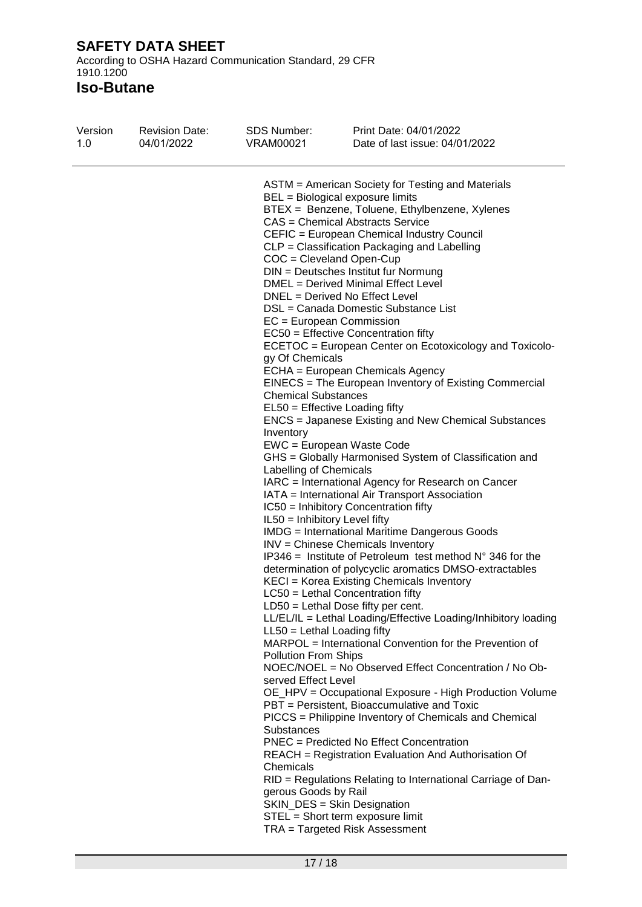According to OSHA Hazard Communication Standard, 29 CFR 1910.1200

| Version<br><b>Revision Date:</b><br>1.0<br>04/01/2022 | <b>SDS Number:</b><br><b>VRAM00021</b>                                                                                                                                                                                                                                                                                                                                                                                                                                                                                                                                                                                | Print Date: 04/01/2022<br>Date of last issue: 04/01/2022                                                                                                                                                                                                                                                                                                                                                                                                                                                                                                                                                                                                                                                                                                                                                                                                                                                                                                                                                                                                                                                                                                                                                                                                                                                                                                                                                                                                                                                                                                                                                                                                                    |
|-------------------------------------------------------|-----------------------------------------------------------------------------------------------------------------------------------------------------------------------------------------------------------------------------------------------------------------------------------------------------------------------------------------------------------------------------------------------------------------------------------------------------------------------------------------------------------------------------------------------------------------------------------------------------------------------|-----------------------------------------------------------------------------------------------------------------------------------------------------------------------------------------------------------------------------------------------------------------------------------------------------------------------------------------------------------------------------------------------------------------------------------------------------------------------------------------------------------------------------------------------------------------------------------------------------------------------------------------------------------------------------------------------------------------------------------------------------------------------------------------------------------------------------------------------------------------------------------------------------------------------------------------------------------------------------------------------------------------------------------------------------------------------------------------------------------------------------------------------------------------------------------------------------------------------------------------------------------------------------------------------------------------------------------------------------------------------------------------------------------------------------------------------------------------------------------------------------------------------------------------------------------------------------------------------------------------------------------------------------------------------------|
|                                                       | BEL = Biological exposure limits<br>$COC = Cleveland Open-Cup$<br>DNEL = Derived No Effect Level<br>EC = European Commission<br>gy Of Chemicals<br><b>Chemical Substances</b><br>EL50 = Effective Loading fifty<br>Inventory<br>EWC = European Waste Code<br>Labelling of Chemicals<br>IL50 = Inhibitory Level fifty<br>$LC50$ = Lethal Concentration fifty<br>LD50 = Lethal Dose fifty per cent.<br>$LL50 = Lethal$ Loading fifty<br><b>Pollution From Ships</b><br>served Effect Level<br><b>Substances</b><br>Chemicals<br>gerous Goods by Rail<br>SKIN_DES = Skin Designation<br>STEL = Short term exposure limit | ASTM = American Society for Testing and Materials<br>BTEX = Benzene, Toluene, Ethylbenzene, Xylenes<br>CAS = Chemical Abstracts Service<br>CEFIC = European Chemical Industry Council<br>CLP = Classification Packaging and Labelling<br>DIN = Deutsches Institut fur Normung<br>DMEL = Derived Minimal Effect Level<br>DSL = Canada Domestic Substance List<br>EC50 = Effective Concentration fifty<br>ECETOC = European Center on Ecotoxicology and Toxicolo-<br>ECHA = European Chemicals Agency<br>EINECS = The European Inventory of Existing Commercial<br>ENCS = Japanese Existing and New Chemical Substances<br>GHS = Globally Harmonised System of Classification and<br>IARC = International Agency for Research on Cancer<br>IATA = International Air Transport Association<br>IC50 = Inhibitory Concentration fifty<br><b>IMDG</b> = International Maritime Dangerous Goods<br>INV = Chinese Chemicals Inventory<br>IP346 = Institute of Petroleum test method $N^{\circ}$ 346 for the<br>determination of polycyclic aromatics DMSO-extractables<br>KECI = Korea Existing Chemicals Inventory<br>LL/EL/IL = Lethal Loading/Effective Loading/Inhibitory loading<br>MARPOL = International Convention for the Prevention of<br>NOEC/NOEL = No Observed Effect Concentration / No Ob-<br>OE_HPV = Occupational Exposure - High Production Volume<br>PBT = Persistent, Bioaccumulative and Toxic<br>PICCS = Philippine Inventory of Chemicals and Chemical<br>PNEC = Predicted No Effect Concentration<br>REACH = Registration Evaluation And Authorisation Of<br>RID = Regulations Relating to International Carriage of Dan-<br>TRA = Targeted Risk Assessment |